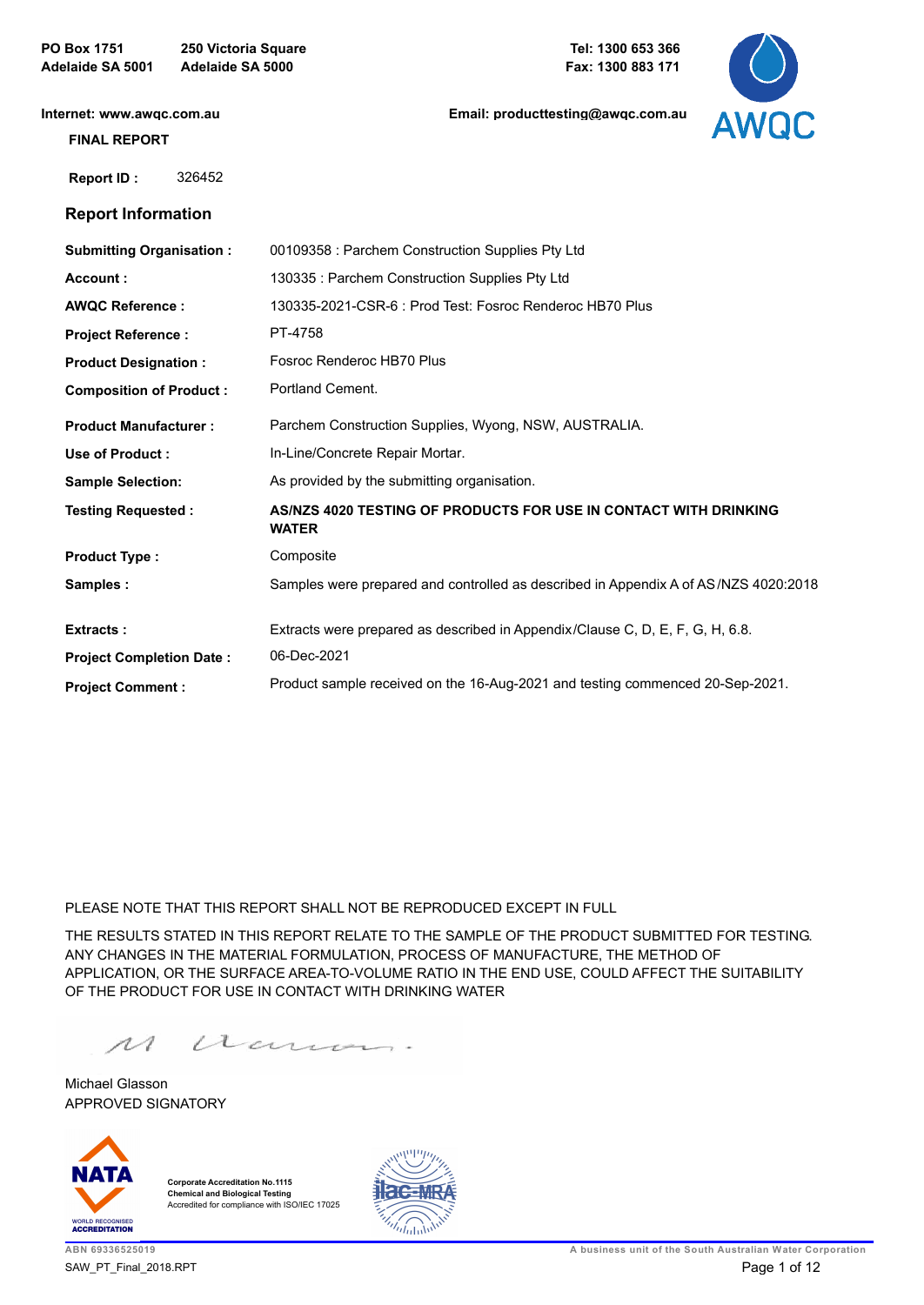**PO Box 1751 250 Victoria Square Adelaide SA 5001 Adelaide SA 5000**

**[Email: producttesting@awqc.com.au](mailto:awqc@sawater.com.au)**



**[Internet: www.awqc.com.au](https://www.awqc.com.au)**

#### **FINAL REPORT**

 **Report ID :** 326452

### **Report Information**

| <b>Submitting Organisation:</b> | 00109358 : Parchem Construction Supplies Pty Ltd                                    |
|---------------------------------|-------------------------------------------------------------------------------------|
| Account:                        | 130335: Parchem Construction Supplies Pty Ltd                                       |
| <b>AWQC Reference:</b>          | 130335-2021-CSR-6: Prod Test: Fosroc Renderoc HB70 Plus                             |
| <b>Project Reference:</b>       | PT-4758                                                                             |
| <b>Product Designation:</b>     | Fosroc Renderoc HB70 Plus                                                           |
| <b>Composition of Product:</b>  | Portland Cement.                                                                    |
| <b>Product Manufacturer:</b>    | Parchem Construction Supplies, Wyong, NSW, AUSTRALIA.                               |
| Use of Product:                 | In-Line/Concrete Repair Mortar.                                                     |
| <b>Sample Selection:</b>        | As provided by the submitting organisation.                                         |
| <b>Testing Requested:</b>       | AS/NZS 4020 TESTING OF PRODUCTS FOR USE IN CONTACT WITH DRINKING<br><b>WATER</b>    |
| <b>Product Type:</b>            | Composite                                                                           |
| Samples:                        | Samples were prepared and controlled as described in Appendix A of AS/NZS 4020:2018 |
| <b>Extracts:</b>                | Extracts were prepared as described in Appendix/Clause C, D, E, F, G, H, 6.8.       |
| <b>Project Completion Date:</b> | 06-Dec-2021                                                                         |
| <b>Project Comment:</b>         | Product sample received on the 16-Aug-2021 and testing commenced 20-Sep-2021.       |

PLEASE NOTE THAT THIS REPORT SHALL NOT BE REPRODUCED EXCEPT IN FULL

THE RESULTS STATED IN THIS REPORT RELATE TO THE SAMPLE OF THE PRODUCT SUBMITTED FOR TESTING. ANY CHANGES IN THE MATERIAL FORMULATION, PROCESS OF MANUFACTURE, THE METHOD OF APPLICATION, OR THE SURFACE AREA-TO-VOLUME RATIO IN THE END USE, COULD AFFECT THE SUITABILITY OF THE PRODUCT FOR USE IN CONTACT WITH DRINKING WATER

acum.  $\mathcal{M}$ 

APPROVED SIGNATORY Michael Glasson



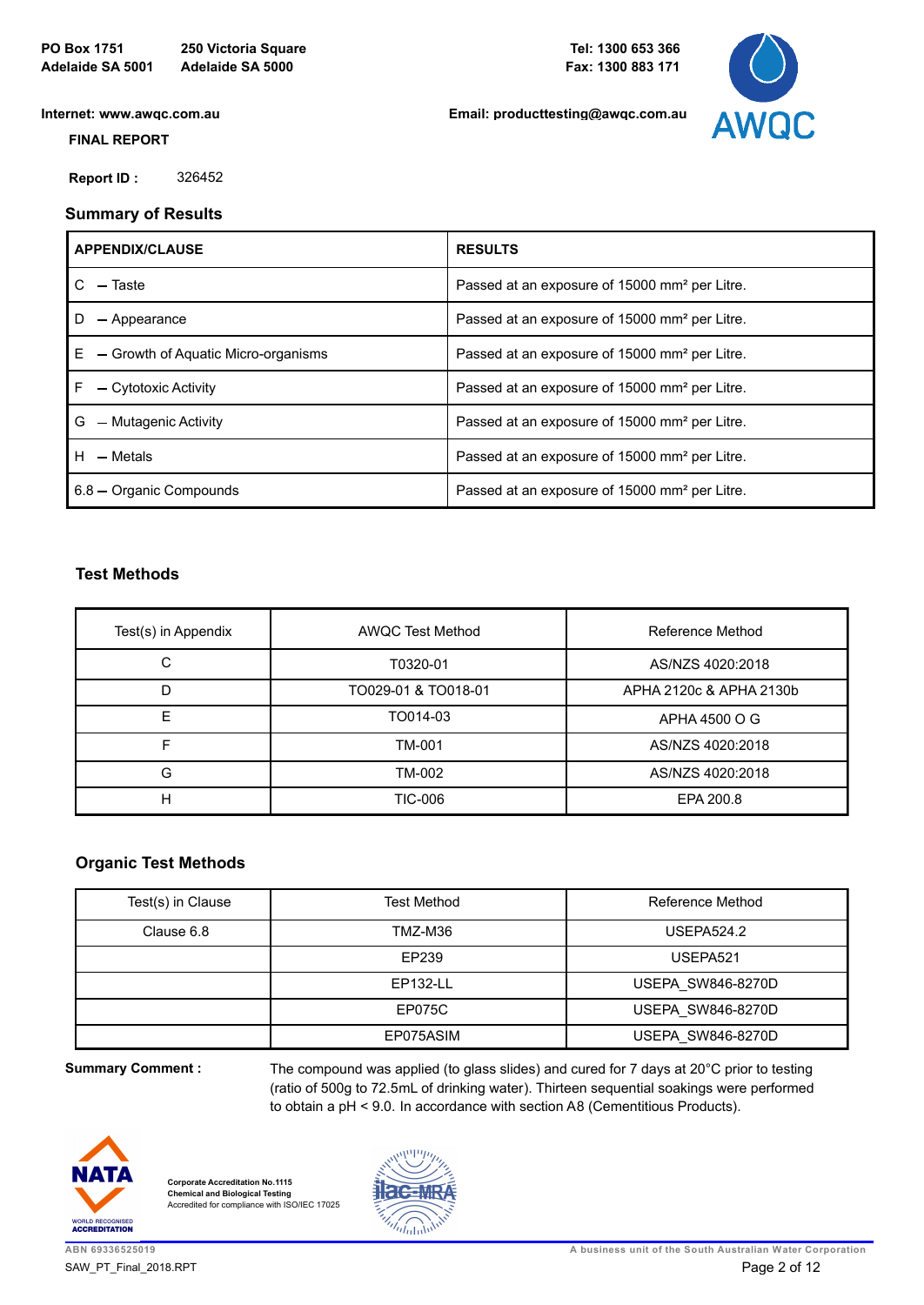**[Email: producttesting@awqc.com.au](mailto:awqc@sawater.com.au)**



**[Internet: www.awqc.com.au](https://www.awqc.com.au)**

#### **FINAL REPORT**

 **Report ID :** 326452

## **Summary of Results**

| <b>APPENDIX/CLAUSE</b>                    | <b>RESULTS</b>                                            |
|-------------------------------------------|-----------------------------------------------------------|
| $-$ Taste                                 | Passed at an exposure of 15000 mm <sup>2</sup> per Litre. |
| - Appearance                              | Passed at an exposure of 15000 mm <sup>2</sup> per Litre. |
| E.<br>- Growth of Aquatic Micro-organisms | Passed at an exposure of 15000 mm <sup>2</sup> per Litre. |
| F<br>- Cytotoxic Activity                 | Passed at an exposure of 15000 mm <sup>2</sup> per Litre. |
| G<br>- Mutagenic Activity                 | Passed at an exposure of 15000 mm <sup>2</sup> per Litre. |
| $H - Metals$                              | Passed at an exposure of 15000 mm <sup>2</sup> per Litre. |
| 6.8 - Organic Compounds                   | Passed at an exposure of 15000 mm <sup>2</sup> per Litre. |

## **Test Methods**

| Test(s) in Appendix | <b>AWQC Test Method</b> | Reference Method        |
|---------------------|-------------------------|-------------------------|
| С                   | T0320-01                | AS/NZS 4020:2018        |
| D                   | TO029-01 & TO018-01     | APHA 2120c & APHA 2130b |
| F                   | TO014-03                | APHA 4500 O G           |
|                     | TM-001                  | AS/NZS 4020:2018        |
| G                   | TM-002                  | AS/NZS 4020:2018        |
| н                   | TIC-006                 | EPA 200.8               |

## **Organic Test Methods**

| Test(s) in Clause | <b>Test Method</b> | Reference Method         |
|-------------------|--------------------|--------------------------|
| Clause 6.8        | TMZ-M36            | <b>USEPA524.2</b>        |
|                   | EP239              | USEPA521                 |
|                   | EP132-LL           | <b>USEPA SW846-8270D</b> |
|                   | EP075C             | <b>USEPA SW846-8270D</b> |
|                   | EP075ASIM          | <b>USEPA SW846-8270D</b> |

**Summary Comment :**

The compound was applied (to glass slides) and cured for 7 days at 20°C prior to testing (ratio of 500g to 72.5mL of drinking water). Thirteen sequential soakings were performed to obtain a pH < 9.0. In accordance with section A8 (Cementitious Products).



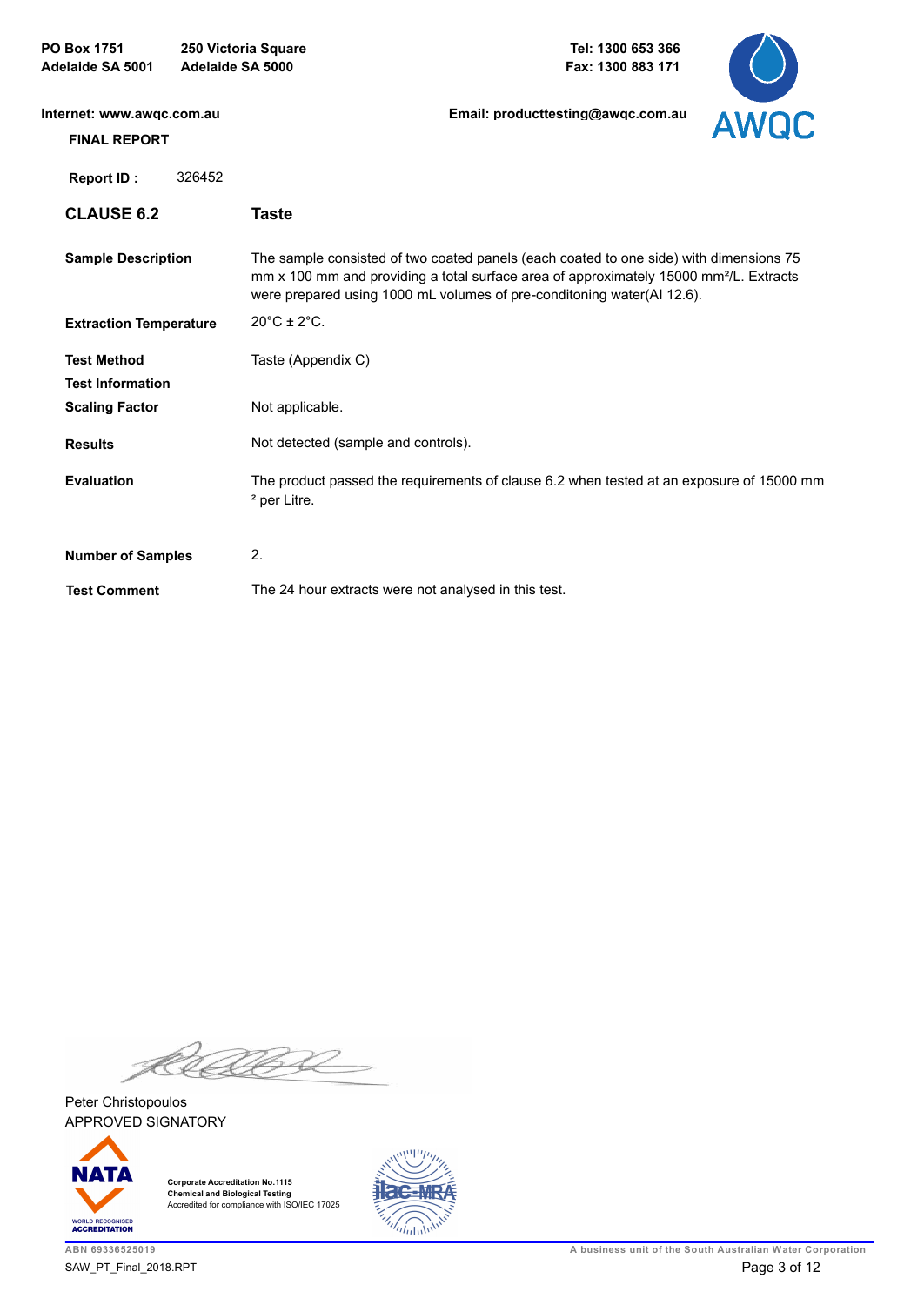| <b>PO Box 1751</b><br>Adelaide SA 5001           | Adelaide SA 5000 | 250 Victoria Square                                  | Tel: 1300 653 366<br>Fax: 1300 883 171                                                                                                                                                                                                                                 |             |
|--------------------------------------------------|------------------|------------------------------------------------------|------------------------------------------------------------------------------------------------------------------------------------------------------------------------------------------------------------------------------------------------------------------------|-------------|
| Internet: www.awgc.com.au<br><b>FINAL REPORT</b> |                  |                                                      | Email: producttesting@awgc.com.au                                                                                                                                                                                                                                      | <b>AWQC</b> |
| <b>Report ID:</b>                                | 326452           |                                                      |                                                                                                                                                                                                                                                                        |             |
| <b>CLAUSE 6.2</b>                                |                  | <b>Taste</b>                                         |                                                                                                                                                                                                                                                                        |             |
| <b>Sample Description</b>                        |                  |                                                      | The sample consisted of two coated panels (each coated to one side) with dimensions 75<br>mm x 100 mm and providing a total surface area of approximately 15000 mm <sup>2</sup> /L. Extracts<br>were prepared using 1000 mL volumes of pre-conditoning water(AI 12.6). |             |
| <b>Extraction Temperature</b>                    |                  | $20^{\circ}$ C ± $2^{\circ}$ C.                      |                                                                                                                                                                                                                                                                        |             |
| <b>Test Method</b><br><b>Test Information</b>    |                  | Taste (Appendix C)                                   |                                                                                                                                                                                                                                                                        |             |
| <b>Scaling Factor</b>                            |                  | Not applicable.                                      |                                                                                                                                                                                                                                                                        |             |
| <b>Results</b>                                   |                  | Not detected (sample and controls).                  |                                                                                                                                                                                                                                                                        |             |
| <b>Evaluation</b>                                |                  | <sup>2</sup> per Litre.                              | The product passed the requirements of clause 6.2 when tested at an exposure of 15000 mm                                                                                                                                                                               |             |
| <b>Number of Samples</b>                         |                  | 2.                                                   |                                                                                                                                                                                                                                                                        |             |
| <b>Test Comment</b>                              |                  | The 24 hour extracts were not analysed in this test. |                                                                                                                                                                                                                                                                        |             |

RABA

APPROVED SIGNATORY Peter Christopoulos



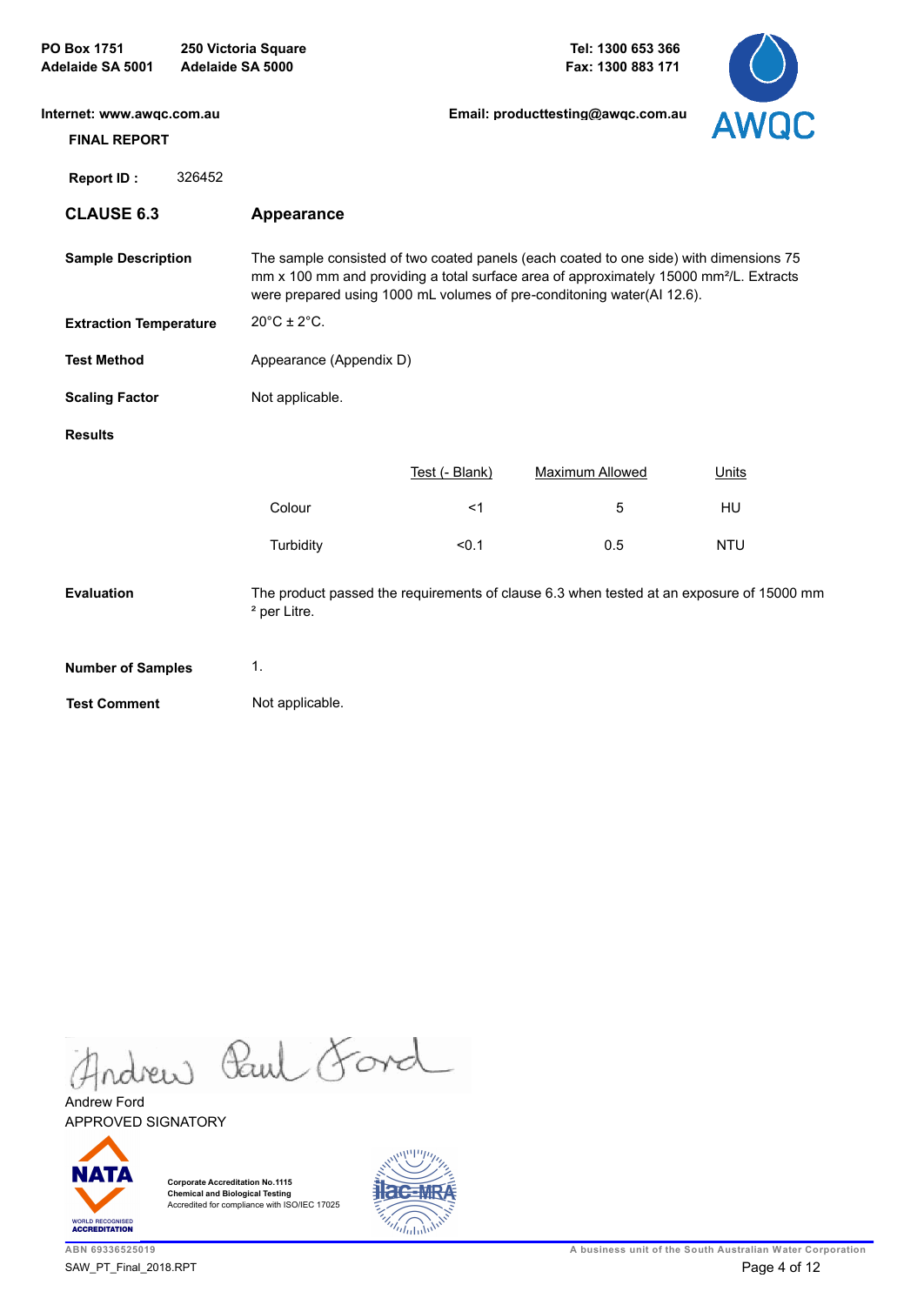| PO Box 1751<br>Adelaide SA 5001                  | Adelaide SA 5000 | 250 Victoria Square              |                | Tel: 1300 653 366<br>Fax: 1300 883 171                                                                                                                                                                                                                                 |              |
|--------------------------------------------------|------------------|----------------------------------|----------------|------------------------------------------------------------------------------------------------------------------------------------------------------------------------------------------------------------------------------------------------------------------------|--------------|
| Internet: www.awgc.com.au<br><b>FINAL REPORT</b> |                  |                                  |                | Email: producttesting@awgc.com.au                                                                                                                                                                                                                                      | AWQC         |
| <b>Report ID:</b>                                | 326452           |                                  |                |                                                                                                                                                                                                                                                                        |              |
| <b>CLAUSE 6.3</b>                                |                  | Appearance                       |                |                                                                                                                                                                                                                                                                        |              |
| <b>Sample Description</b>                        |                  |                                  |                | The sample consisted of two coated panels (each coated to one side) with dimensions 75<br>mm x 100 mm and providing a total surface area of approximately 15000 mm <sup>2</sup> /L. Extracts<br>were prepared using 1000 mL volumes of pre-conditoning water(Al 12.6). |              |
| <b>Extraction Temperature</b>                    |                  | $20^{\circ}$ C ± 2 $^{\circ}$ C. |                |                                                                                                                                                                                                                                                                        |              |
| <b>Test Method</b>                               |                  | Appearance (Appendix D)          |                |                                                                                                                                                                                                                                                                        |              |
| <b>Scaling Factor</b>                            |                  | Not applicable.                  |                |                                                                                                                                                                                                                                                                        |              |
| <b>Results</b>                                   |                  |                                  |                |                                                                                                                                                                                                                                                                        |              |
|                                                  |                  |                                  | Test (- Blank) | <b>Maximum Allowed</b>                                                                                                                                                                                                                                                 | <b>Units</b> |
|                                                  |                  | Colour                           | <1             | 5                                                                                                                                                                                                                                                                      | HU           |
|                                                  |                  | Turbidity                        | < 0.1          | 0.5                                                                                                                                                                                                                                                                    | <b>NTU</b>   |
| <b>Evaluation</b>                                |                  | <sup>2</sup> per Litre.          |                | The product passed the requirements of clause 6.3 when tested at an exposure of 15000 mm                                                                                                                                                                               |              |
| <b>Number of Samples</b>                         |                  | $\mathbf{1}$ .                   |                |                                                                                                                                                                                                                                                                        |              |
| <b>Test Comment</b>                              |                  | Not applicable.                  |                |                                                                                                                                                                                                                                                                        |              |
|                                                  |                  |                                  |                |                                                                                                                                                                                                                                                                        |              |

Andrew Paul Ford

APPROVED SIGNATORY Andrew Ford



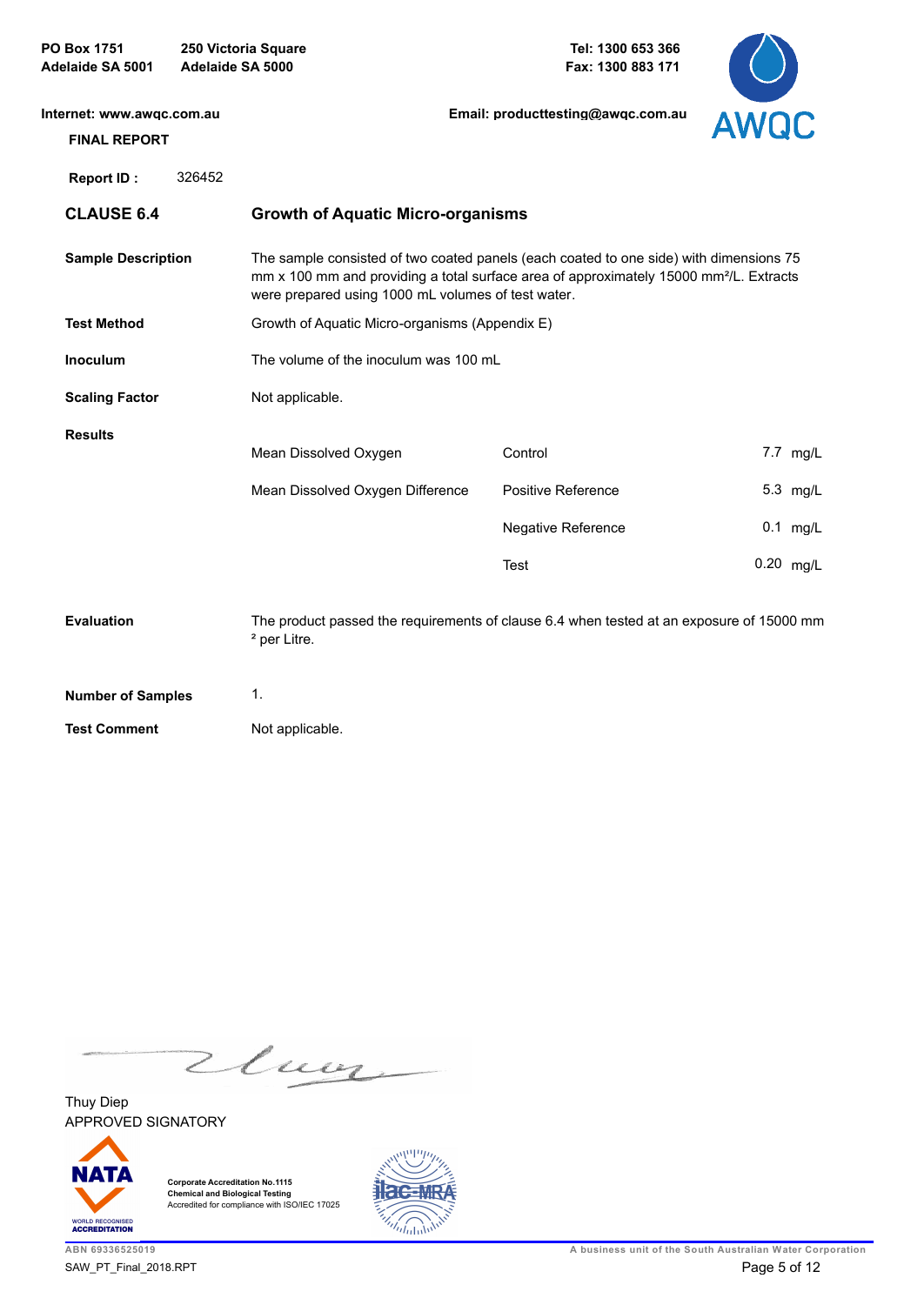| <b>PO Box 1751</b><br>Adelaide SA 5001           | 250 Victoria Square<br>Adelaide SA 5000 |                                                                                                                                                                                                                                                    | Tel: 1300 653 366<br>Fax: 1300 883 171 |           |            |
|--------------------------------------------------|-----------------------------------------|----------------------------------------------------------------------------------------------------------------------------------------------------------------------------------------------------------------------------------------------------|----------------------------------------|-----------|------------|
| Internet: www.awqc.com.au<br><b>FINAL REPORT</b> |                                         |                                                                                                                                                                                                                                                    | Email: producttesting@awgc.com.au      | AWQC      |            |
| <b>Report ID:</b>                                | 326452                                  |                                                                                                                                                                                                                                                    |                                        |           |            |
| <b>CLAUSE 6.4</b>                                |                                         | <b>Growth of Aquatic Micro-organisms</b>                                                                                                                                                                                                           |                                        |           |            |
| <b>Sample Description</b>                        |                                         | The sample consisted of two coated panels (each coated to one side) with dimensions 75<br>mm x 100 mm and providing a total surface area of approximately 15000 mm <sup>2</sup> /L. Extracts<br>were prepared using 1000 mL volumes of test water. |                                        |           |            |
| <b>Test Method</b>                               |                                         | Growth of Aquatic Micro-organisms (Appendix E)                                                                                                                                                                                                     |                                        |           |            |
| <b>Inoculum</b>                                  |                                         | The volume of the inoculum was 100 mL                                                                                                                                                                                                              |                                        |           |            |
| <b>Scaling Factor</b>                            |                                         | Not applicable.                                                                                                                                                                                                                                    |                                        |           |            |
| <b>Results</b>                                   |                                         | Mean Dissolved Oxygen                                                                                                                                                                                                                              | Control                                |           | 7.7 mg/L   |
|                                                  |                                         | Mean Dissolved Oxygen Difference                                                                                                                                                                                                                   | Positive Reference                     |           | 5.3 mg/L   |
|                                                  |                                         |                                                                                                                                                                                                                                                    | Negative Reference                     |           | $0.1$ mg/L |
|                                                  |                                         |                                                                                                                                                                                                                                                    | Test                                   | 0.20 mg/L |            |
| <b>Evaluation</b>                                |                                         | The product passed the requirements of clause 6.4 when tested at an exposure of 15000 mm<br><sup>2</sup> per Litre.                                                                                                                                |                                        |           |            |
| <b>Number of Samples</b>                         |                                         | 1.                                                                                                                                                                                                                                                 |                                        |           |            |
| <b>Test Comment</b>                              |                                         | Not applicable.                                                                                                                                                                                                                                    |                                        |           |            |

Zluoz

APPROVED SIGNATORY Thuy Diep



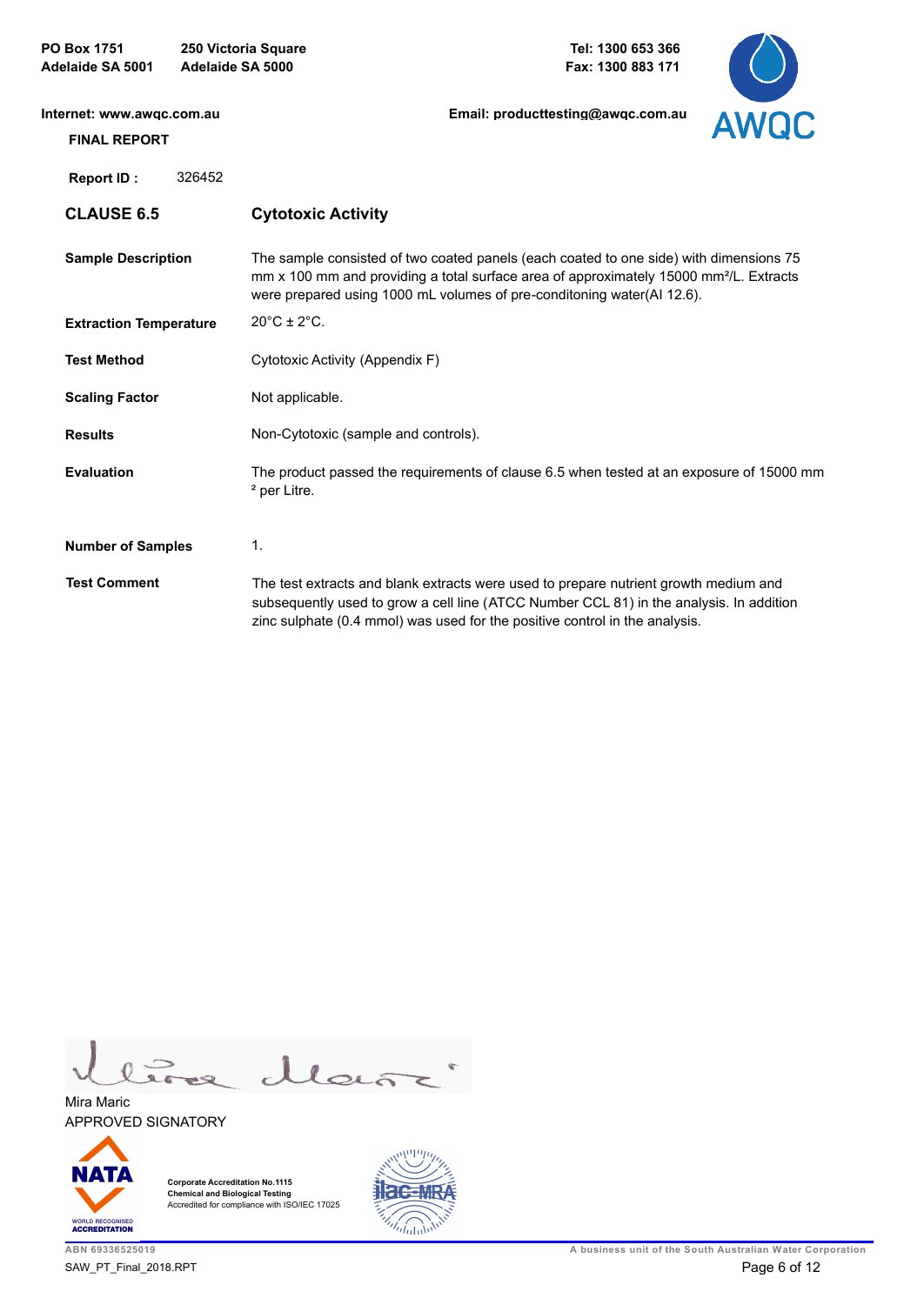| <b>PO Box 1751</b><br><b>Adelaide SA 5001</b> |        | 250 Victoria Square<br>Adelaide SA 5000 | Tel: 1300 653 366<br>Fax: 1300 883 171                                                                                                                                                                                                                                 |             |
|-----------------------------------------------|--------|-----------------------------------------|------------------------------------------------------------------------------------------------------------------------------------------------------------------------------------------------------------------------------------------------------------------------|-------------|
| Internet: www.awgc.com.au                     |        |                                         | Email: producttesting@awgc.com.au                                                                                                                                                                                                                                      | <b>AWQC</b> |
| <b>FINAL REPORT</b>                           |        |                                         |                                                                                                                                                                                                                                                                        |             |
| <b>Report ID:</b>                             | 326452 |                                         |                                                                                                                                                                                                                                                                        |             |
| <b>CLAUSE 6.5</b>                             |        | <b>Cytotoxic Activity</b>               |                                                                                                                                                                                                                                                                        |             |
| <b>Sample Description</b>                     |        |                                         | The sample consisted of two coated panels (each coated to one side) with dimensions 75<br>mm x 100 mm and providing a total surface area of approximately 15000 mm <sup>2</sup> /L. Extracts<br>were prepared using 1000 mL volumes of pre-conditoning water(AI 12.6). |             |
| <b>Extraction Temperature</b>                 |        | $20^{\circ}$ C ± $2^{\circ}$ C.         |                                                                                                                                                                                                                                                                        |             |
| <b>Test Method</b>                            |        | Cytotoxic Activity (Appendix F)         |                                                                                                                                                                                                                                                                        |             |
| <b>Scaling Factor</b>                         |        | Not applicable.                         |                                                                                                                                                                                                                                                                        |             |
| <b>Results</b>                                |        | Non-Cytotoxic (sample and controls).    |                                                                                                                                                                                                                                                                        |             |
| <b>Evaluation</b>                             |        | <sup>2</sup> per Litre.                 | The product passed the requirements of clause 6.5 when tested at an exposure of 15000 mm                                                                                                                                                                               |             |
| <b>Number of Samples</b>                      |        | $\mathbf{1}$ .                          |                                                                                                                                                                                                                                                                        |             |
| <b>Test Comment</b>                           |        |                                         | The test extracts and blank extracts were used to prepare nutrient growth medium and<br>subsequently used to grow a cell line (ATCC Number CCL 81) in the analysis. In addition<br>zinc sulphate (0.4 mmol) was used for the positive control in the analysis.         |             |

llar

APPROVED SIGNATORY Mira Maric





 $\overline{\phantom{a}}$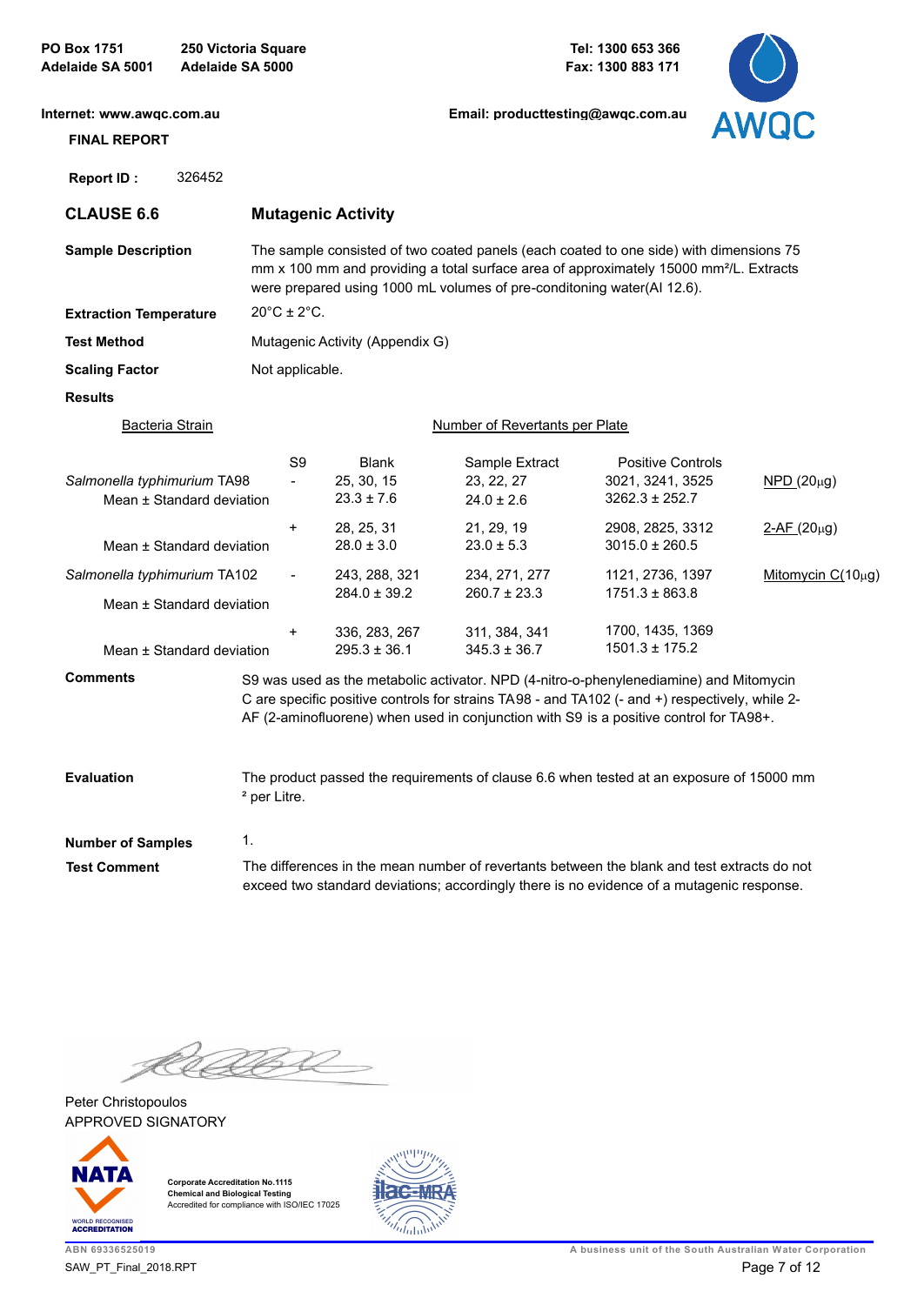| <b>PO Box 1751</b><br>Adelaide SA 5001           | 250 Victoria Square<br>Adelaide SA 5000 |                                  |                                              |                                                                                                                                                                                                                                                                                    | Tel: 1300 653 366<br>Fax: 1300 883 171                             |                        |
|--------------------------------------------------|-----------------------------------------|----------------------------------|----------------------------------------------|------------------------------------------------------------------------------------------------------------------------------------------------------------------------------------------------------------------------------------------------------------------------------------|--------------------------------------------------------------------|------------------------|
| Internet: www.awgc.com.au<br><b>FINAL REPORT</b> |                                         |                                  |                                              | Email: producttesting@awgc.com.au                                                                                                                                                                                                                                                  |                                                                    | <b>AWQC</b>            |
| Report ID:                                       | 326452                                  |                                  |                                              |                                                                                                                                                                                                                                                                                    |                                                                    |                        |
| <b>CLAUSE 6.6</b>                                |                                         |                                  | <b>Mutagenic Activity</b>                    |                                                                                                                                                                                                                                                                                    |                                                                    |                        |
| <b>Sample Description</b>                        |                                         |                                  |                                              | The sample consisted of two coated panels (each coated to one side) with dimensions 75<br>mm x 100 mm and providing a total surface area of approximately 15000 mm <sup>2</sup> /L. Extracts<br>were prepared using 1000 mL volumes of pre-conditoning water(AI 12.6).             |                                                                    |                        |
| <b>Extraction Temperature</b>                    |                                         | $20^{\circ}$ C ± 2 $^{\circ}$ C. |                                              |                                                                                                                                                                                                                                                                                    |                                                                    |                        |
| <b>Test Method</b>                               |                                         |                                  | Mutagenic Activity (Appendix G)              |                                                                                                                                                                                                                                                                                    |                                                                    |                        |
| <b>Scaling Factor</b>                            |                                         | Not applicable.                  |                                              |                                                                                                                                                                                                                                                                                    |                                                                    |                        |
| <b>Results</b>                                   |                                         |                                  |                                              |                                                                                                                                                                                                                                                                                    |                                                                    |                        |
| <b>Bacteria Strain</b>                           |                                         |                                  |                                              | <b>Number of Revertants per Plate</b>                                                                                                                                                                                                                                              |                                                                    |                        |
| Salmonella typhimurium TA98                      | Mean ± Standard deviation               | S9                               | <b>Blank</b><br>25, 30, 15<br>$23.3 \pm 7.6$ | Sample Extract<br>23, 22, 27<br>$24.0 \pm 2.6$                                                                                                                                                                                                                                     | <b>Positive Controls</b><br>3021, 3241, 3525<br>$3262.3 \pm 252.7$ | $NPD(20\mu g)$         |
|                                                  | Mean ± Standard deviation               | +                                | 28, 25, 31<br>$28.0 \pm 3.0$                 | 21, 29, 19<br>$23.0 \pm 5.3$                                                                                                                                                                                                                                                       | 2908, 2825, 3312<br>$3015.0 \pm 260.5$                             | $2-AF(20\mu g)$        |
| Salmonella typhimurium TA102                     | Mean ± Standard deviation               | $\blacksquare$                   | 243, 288, 321<br>$284.0 \pm 39.2$            | 234, 271, 277<br>$260.7 \pm 23.3$                                                                                                                                                                                                                                                  | 1121, 2736, 1397<br>$1751.3 \pm 863.8$                             | Mitomycin $C(10\mu g)$ |
|                                                  | Mean ± Standard deviation               | +                                | 336, 283, 267<br>$295.3 \pm 36.1$            | 311, 384, 341<br>$345.3 \pm 36.7$                                                                                                                                                                                                                                                  | 1700, 1435, 1369<br>$1501.3 \pm 175.2$                             |                        |
| <b>Comments</b>                                  |                                         |                                  |                                              | S9 was used as the metabolic activator. NPD (4-nitro-o-phenylenediamine) and Mitomycin<br>C are specific positive controls for strains TA98 - and TA102 (- and +) respectively, while 2-<br>AF (2-aminofluorene) when used in conjunction with S9 is a positive control for TA98+. |                                                                    |                        |
| <b>Evaluation</b>                                |                                         | <sup>2</sup> per Litre.          |                                              | The product passed the requirements of clause 6.6 when tested at an exposure of 15000 mm                                                                                                                                                                                           |                                                                    |                        |
| <b>Number of Samples</b>                         | 1.                                      |                                  |                                              |                                                                                                                                                                                                                                                                                    |                                                                    |                        |
| <b>Test Comment</b>                              |                                         |                                  |                                              | The differences in the mean number of revertants between the blank and test extracts do not<br>exceed two standard deviations; accordingly there is no evidence of a mutagenic response.                                                                                           |                                                                    |                        |

K 5ZP Ĺ

APPROVED SIGNATORY Peter Christopoulos



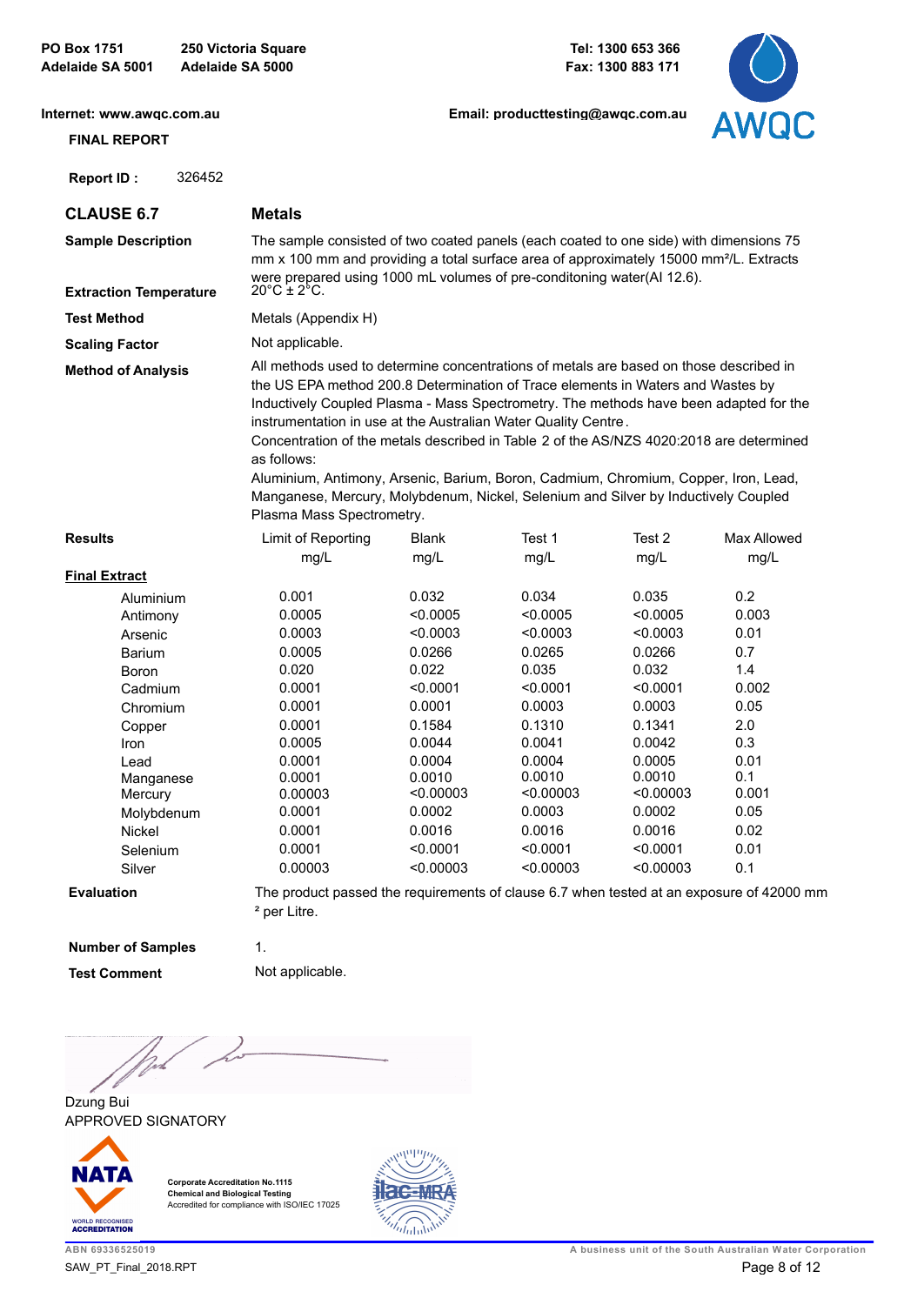**PO Box 1751 250 Victoria Square Adelaide SA 5001 Adelaide SA 5000**

**Tel: 1300 653 366 Fax: 1300 883 171**

**[Email: producttesting@awqc.com.au](mailto:awqc@sawater.com.au)**



**[Internet: www.awqc.com.au](https://www.awqc.com.au)**

# **FINAL REPORT**

 **Report ID :** 326452

**CLAUSE 6.7 Metals**

| <b>Sample Description</b><br><b>Extraction Temperature</b> | The sample consisted of two coated panels (each coated to one side) with dimensions 75<br>mm x 100 mm and providing a total surface area of approximately 15000 mm <sup>2</sup> /L. Extracts<br>were prepared using 1000 mL volumes of pre-conditoning water(AI 12.6).<br>$20^{\circ}$ C + $2^{\circ}$ C.                                                                                                                                                                                                                                                                                                                   |
|------------------------------------------------------------|-----------------------------------------------------------------------------------------------------------------------------------------------------------------------------------------------------------------------------------------------------------------------------------------------------------------------------------------------------------------------------------------------------------------------------------------------------------------------------------------------------------------------------------------------------------------------------------------------------------------------------|
| <b>Test Method</b>                                         | Metals (Appendix H)                                                                                                                                                                                                                                                                                                                                                                                                                                                                                                                                                                                                         |
| <b>Scaling Factor</b>                                      | Not applicable.                                                                                                                                                                                                                                                                                                                                                                                                                                                                                                                                                                                                             |
| <b>Method of Analysis</b>                                  | All methods used to determine concentrations of metals are based on those described in<br>the US EPA method 200.8 Determination of Trace elements in Waters and Wastes by<br>Inductively Coupled Plasma - Mass Spectrometry. The methods have been adapted for the<br>instrumentation in use at the Australian Water Quality Centre.<br>Concentration of the metals described in Table 2 of the AS/NZS 4020:2018 are determined<br>as follows:<br>Aluminium, Antimony, Arsenic, Barium, Boron, Cadmium, Chromium, Copper, Iron, Lead,<br>Manganese, Mercury, Molybdenum, Nickel, Selenium and Silver by Inductively Coupled |

Plasma Mass Spectrometry.

| <b>Results</b>       | Limit of Reporting | Blank     | Test 1    | Test 2    | Max Allowed |
|----------------------|--------------------|-----------|-----------|-----------|-------------|
|                      | mg/L               | mg/L      | mg/L      | mg/L      | mg/L        |
| <b>Final Extract</b> |                    |           |           |           |             |
| Aluminium            | 0.001              | 0.032     | 0.034     | 0.035     | 0.2         |
| Antimony             | 0.0005             | < 0.0005  | < 0.0005  | < 0.0005  | 0.003       |
| Arsenic              | 0.0003             | < 0.0003  | < 0.0003  | < 0.0003  | 0.01        |
| <b>Barium</b>        | 0.0005             | 0.0266    | 0.0265    | 0.0266    | 0.7         |
| <b>Boron</b>         | 0.020              | 0.022     | 0.035     | 0.032     | 1.4         |
| Cadmium              | 0.0001             | < 0.0001  | < 0.0001  | < 0.0001  | 0.002       |
| Chromium             | 0.0001             | 0.0001    | 0.0003    | 0.0003    | 0.05        |
| Copper               | 0.0001             | 0.1584    | 0.1310    | 0.1341    | 2.0         |
| Iron                 | 0.0005             | 0.0044    | 0.0041    | 0.0042    | 0.3         |
| Lead                 | 0.0001             | 0.0004    | 0.0004    | 0.0005    | 0.01        |
| Manganese            | 0.0001             | 0.0010    | 0.0010    | 0.0010    | 0.1         |
| Mercury              | 0.00003            | < 0.00003 | < 0.00003 | < 0.00003 | 0.001       |
| Molybdenum           | 0.0001             | 0.0002    | 0.0003    | 0.0002    | 0.05        |
| Nickel               | 0.0001             | 0.0016    | 0.0016    | 0.0016    | 0.02        |
| Selenium             | 0.0001             | < 0.0001  | < 0.0001  | < 0.0001  | 0.01        |
| Silver               | 0.00003            | < 0.00003 | < 0.00003 | < 0.00003 | 0.1         |
|                      |                    |           |           |           |             |

**Evaluation**

The product passed the requirements of clause 6.7 when tested at an exposure of 42000 mm ² per Litre.

**Number of Samples**

**Test Comment** Not applicable.

1.

)<br>Text

APPROVED SIGNATORY Dzung Bui



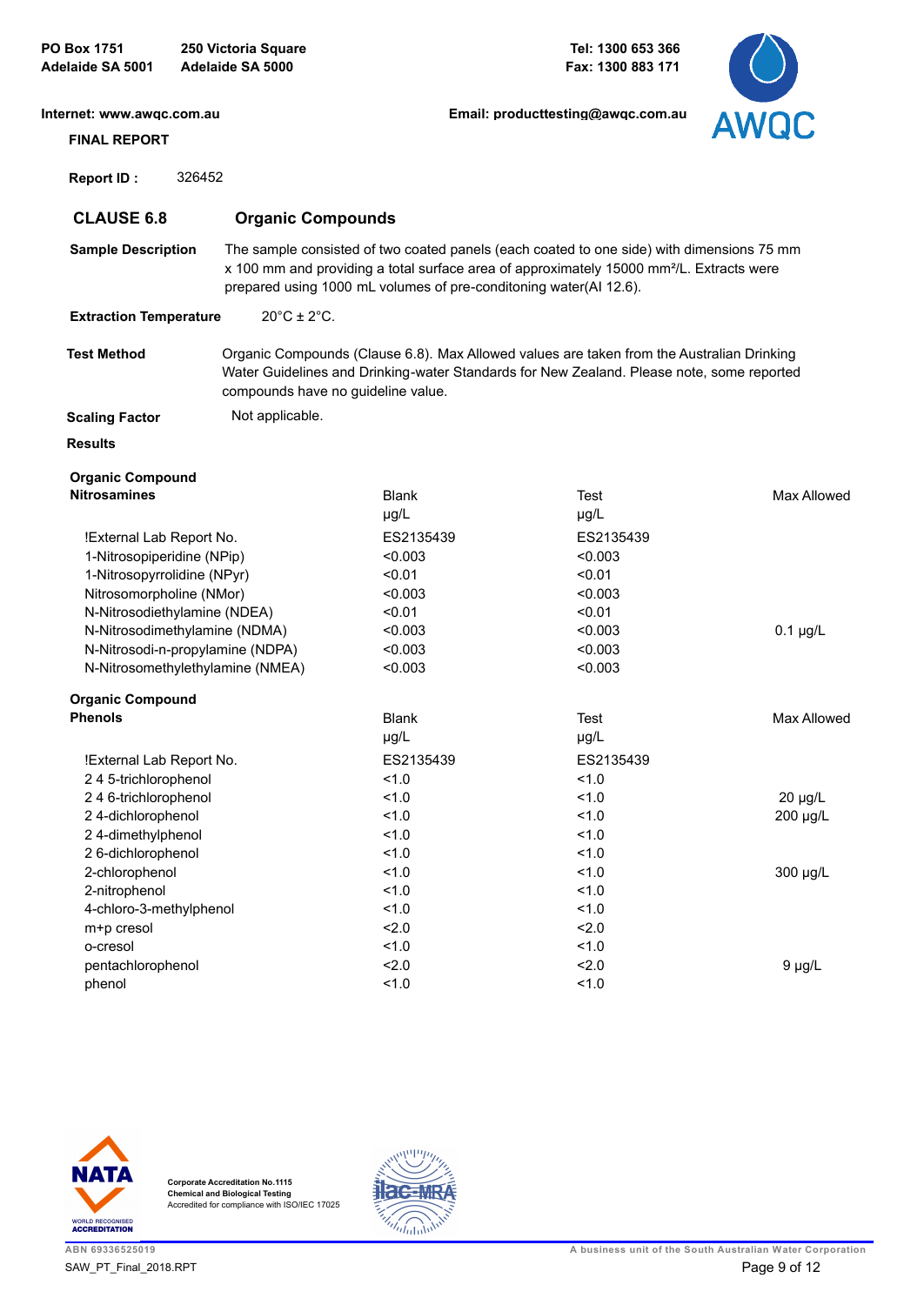| <b>PO Box 1751</b><br>Adelaide SA 5001           |        | 250 Victoria Square<br>Adelaide SA 5000 |                                                                   | Tel: 1300 653 366<br>Fax: 1300 883 171                                                                                                                                                            |                    |
|--------------------------------------------------|--------|-----------------------------------------|-------------------------------------------------------------------|---------------------------------------------------------------------------------------------------------------------------------------------------------------------------------------------------|--------------------|
| Internet: www.awqc.com.au<br><b>FINAL REPORT</b> |        |                                         |                                                                   | Email: producttesting@awgc.com.au                                                                                                                                                                 | AWQC               |
|                                                  | 326452 |                                         |                                                                   |                                                                                                                                                                                                   |                    |
| <b>Report ID:</b>                                |        |                                         |                                                                   |                                                                                                                                                                                                   |                    |
| <b>CLAUSE 6.8</b>                                |        | <b>Organic Compounds</b>                |                                                                   |                                                                                                                                                                                                   |                    |
| <b>Sample Description</b>                        |        |                                         | prepared using 1000 mL volumes of pre-conditoning water(AI 12.6). | The sample consisted of two coated panels (each coated to one side) with dimensions 75 mm<br>x 100 mm and providing a total surface area of approximately 15000 mm <sup>2</sup> /L. Extracts were |                    |
| <b>Extraction Temperature</b>                    |        | $20^{\circ}$ C ± $2^{\circ}$ C.         |                                                                   |                                                                                                                                                                                                   |                    |
| <b>Test Method</b>                               |        | compounds have no guideline value.      |                                                                   | Organic Compounds (Clause 6.8). Max Allowed values are taken from the Australian Drinking<br>Water Guidelines and Drinking-water Standards for New Zealand. Please note, some reported            |                    |
| <b>Scaling Factor</b>                            |        | Not applicable.                         |                                                                   |                                                                                                                                                                                                   |                    |
| <b>Results</b>                                   |        |                                         |                                                                   |                                                                                                                                                                                                   |                    |
| <b>Organic Compound</b>                          |        |                                         |                                                                   |                                                                                                                                                                                                   |                    |
| <b>Nitrosamines</b>                              |        |                                         | <b>Blank</b><br>µg/L                                              | Test<br>$\mu$ g/L                                                                                                                                                                                 | <b>Max Allowed</b> |
| !External Lab Report No.                         |        |                                         | ES2135439                                                         | ES2135439                                                                                                                                                                                         |                    |
| 1-Nitrosopiperidine (NPip)                       |        |                                         | < 0.003                                                           | < 0.003                                                                                                                                                                                           |                    |
| 1-Nitrosopyrrolidine (NPyr)                      |        |                                         | < 0.01                                                            | < 0.01                                                                                                                                                                                            |                    |
| Nitrosomorpholine (NMor)                         |        |                                         | < 0.003                                                           | < 0.003                                                                                                                                                                                           |                    |
| N-Nitrosodiethylamine (NDEA)                     |        |                                         | < 0.01                                                            | < 0.01                                                                                                                                                                                            |                    |
| N-Nitrosodimethylamine (NDMA)                    |        |                                         | < 0.003                                                           | < 0.003                                                                                                                                                                                           | $0.1 \mu g/L$      |
| N-Nitrosodi-n-propylamine (NDPA)                 |        |                                         | < 0.003                                                           | < 0.003                                                                                                                                                                                           |                    |
|                                                  |        | N-Nitrosomethylethylamine (NMEA)        | < 0.003                                                           | < 0.003                                                                                                                                                                                           |                    |
| <b>Organic Compound</b>                          |        |                                         |                                                                   |                                                                                                                                                                                                   |                    |
| <b>Phenols</b>                                   |        |                                         | <b>Blank</b>                                                      | Test                                                                                                                                                                                              | Max Allowed        |
|                                                  |        |                                         | µg/L                                                              | µg/L                                                                                                                                                                                              |                    |
| !External Lab Report No.                         |        |                                         | ES2135439                                                         | ES2135439                                                                                                                                                                                         |                    |
| 245-trichlorophenol                              |        |                                         | 1.0                                                               | 1.0                                                                                                                                                                                               |                    |
| 246-trichlorophenol                              |        |                                         | 1.0                                                               | 1.0                                                                                                                                                                                               | $20 \mu g/L$       |
| 24-dichlorophenol                                |        |                                         | 1.0                                                               | 1.0                                                                                                                                                                                               | 200 µg/L           |
| 24-dimethylphenol                                |        |                                         | 1.0                                                               | 1.0                                                                                                                                                                                               |                    |
| 2 6-dichlorophenol                               |        |                                         | 1.0                                                               | 1.0                                                                                                                                                                                               |                    |
| 2-chlorophenol                                   |        |                                         | 1.0                                                               | 1.0                                                                                                                                                                                               | 300 µg/L           |
| 2-nitrophenol                                    |        |                                         | 1.0                                                               | 1.0                                                                                                                                                                                               |                    |
| 4-chloro-3-methylphenol                          |        |                                         | 1.0                                                               | 1.0                                                                                                                                                                                               |                    |
| m+p cresol                                       |        |                                         | 2.0                                                               | 2.0                                                                                                                                                                                               |                    |
| o-cresol                                         |        |                                         | 1.0                                                               | 1.0                                                                                                                                                                                               |                    |
| pentachlorophenol                                |        |                                         | 2.0                                                               | 2.0                                                                                                                                                                                               | $9 \mu g/L$        |
| phenol                                           |        |                                         | 1.0                                                               | 1.0                                                                                                                                                                                               |                    |



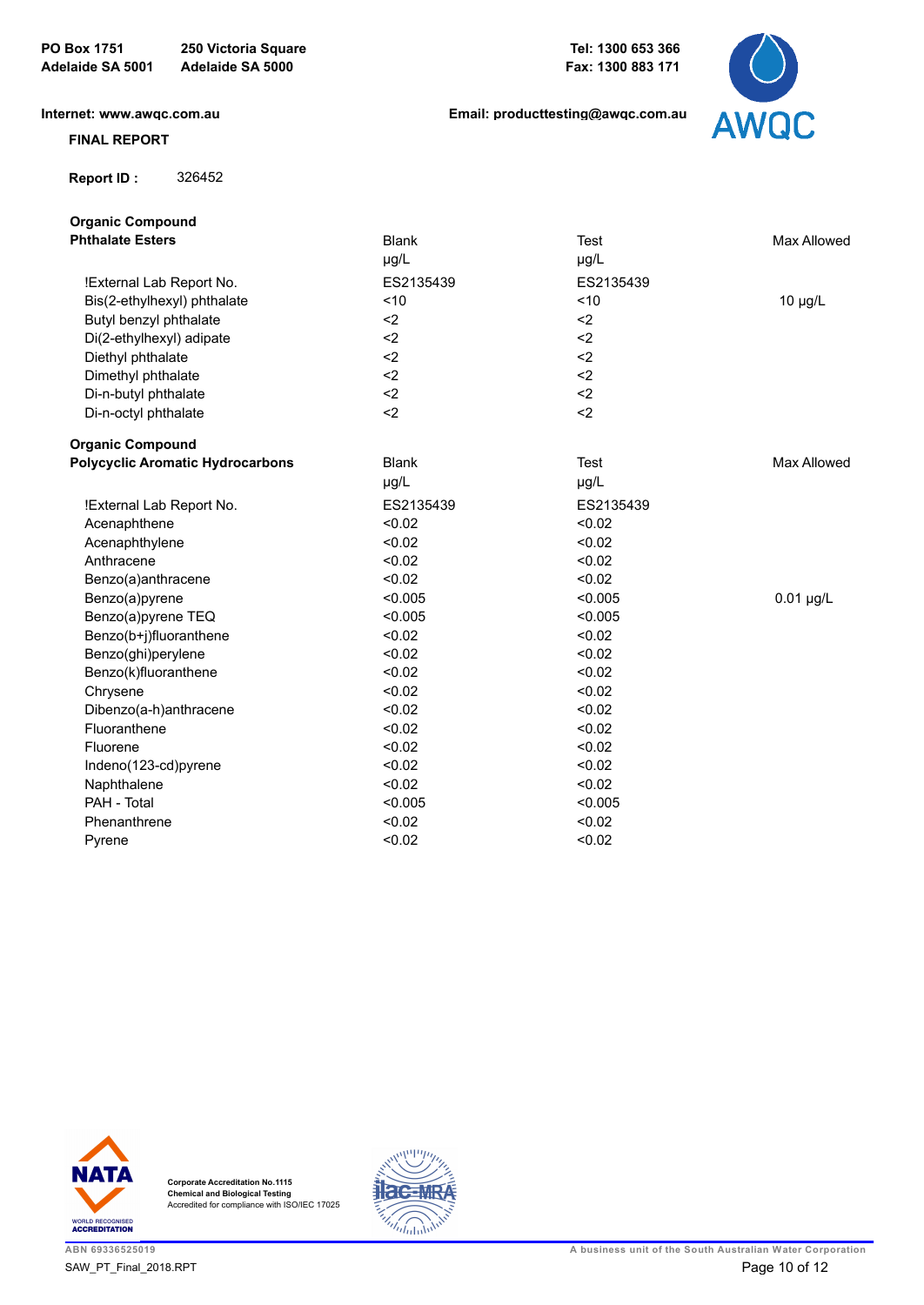**Tel: 1300 653 366 Fax: 1300 883 171**

**[Email: producttesting@awqc.com.au](mailto:awqc@sawater.com.au)**

**[Internet: www.awqc.com.au](https://www.awqc.com.au)**

#### **FINAL REPORT**

 **Report ID :** 326452

| <b>Blank</b> | <b>Test</b> | Max Allowed  |
|--------------|-------------|--------------|
| µg/L         | µg/L        |              |
| ES2135439    | ES2135439   |              |
| ~10          | < 10        | $10 \mu g/L$ |
| $2$          | $2$         |              |
| $2$          | $2$         |              |
| $2$          | $2$         |              |
| $2$          | $2$         |              |
| $2$          | $2$         |              |
| $2$          | $2$         |              |
|              |             |              |
| <b>Blank</b> | <b>Test</b> | Max Allowed  |
| µg/L         | µg/L        |              |
| ES2135439    | ES2135439   |              |
| < 0.02       | < 0.02      |              |
| < 0.02       | < 0.02      |              |
| < 0.02       | < 0.02      |              |
| < 0.02       | < 0.02      |              |
| < 0.005      | < 0.005     | $0.01$ µg/L  |
| < 0.005      | < 0.005     |              |
| < 0.02       | < 0.02      |              |
| < 0.02       | < 0.02      |              |
| < 0.02       | < 0.02      |              |
| < 0.02       | < 0.02      |              |
| < 0.02       | < 0.02      |              |
| < 0.02       | < 0.02      |              |
| < 0.02       | < 0.02      |              |
| < 0.02       | < 0.02      |              |
| < 0.02       | < 0.02      |              |
| < 0.005      | < 0.005     |              |
| < 0.02       | < 0.02      |              |
| < 0.02       | < 0.02      |              |
|              |             |              |





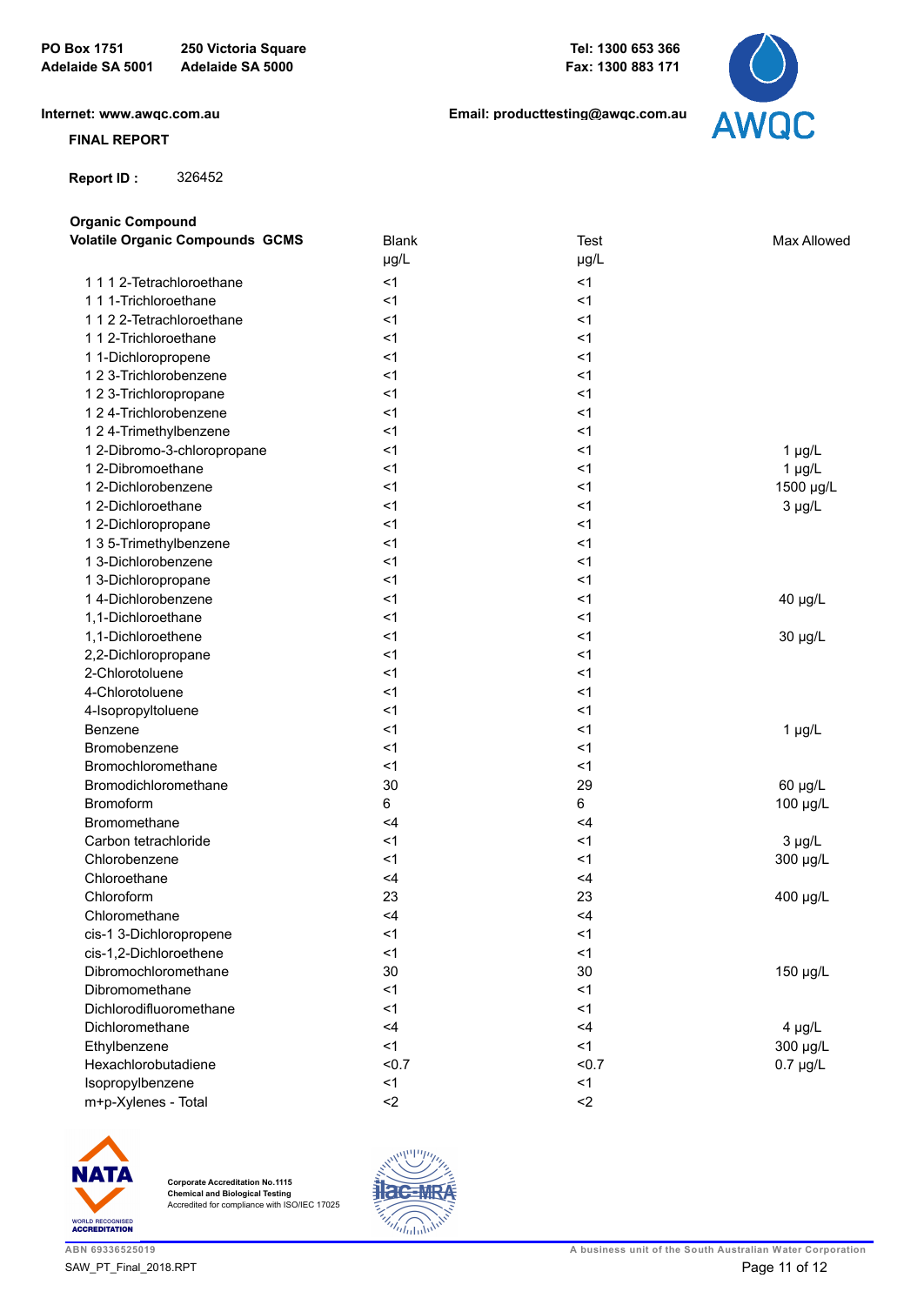**[Internet: www.awqc.com.au](https://www.awqc.com.au)**

### **FINAL REPORT**

 **Report ID :** 326452

**Organic Compound**

**[Email: producttesting@awqc.com.au](mailto:awqc@sawater.com.au)**



| <b>Volatile Organic Compounds GCMS</b> | <b>Blank</b>  | <b>Test</b>    | Max Allowed   |
|----------------------------------------|---------------|----------------|---------------|
|                                        | $\mu g/L$     | µg/L           |               |
| 1112-Tetrachloroethane                 | $<$ 1         | < 1            |               |
| 1 1 1-Trichloroethane                  | $<$ 1         | < 1            |               |
| 1122-Tetrachloroethane                 | $<$ 1         | < 1            |               |
| 112-Trichloroethane                    | $<$ 1         | < 1            |               |
| 1 1-Dichloropropene                    | $<$ 1         | < 1            |               |
| 1 2 3-Trichlorobenzene                 | $<$ 1         | < 1            |               |
| 1 2 3-Trichloropropane                 | $<$ 1         | < 1            |               |
| 1 2 4-Trichlorobenzene                 | $<$ 1         | < 1            |               |
| 1 2 4-Trimethylbenzene                 | $<$ 1         | < 1            |               |
| 1 2-Dibromo-3-chloropropane            | $<$ 1         | < 1            | $1 \mu g/L$   |
| 1 2-Dibromoethane                      | $<$ 1         | < 1            | $1 \mu g/L$   |
| 1 2-Dichlorobenzene                    | $<$ 1         | < 1            | 1500 µg/L     |
| 1 2-Dichloroethane                     | $<$ 1         | < 1            | $3 \mu g/L$   |
| 1 2-Dichloropropane                    | $<$ 1         | < 1            |               |
| 1 3 5-Trimethylbenzene                 | $<$ 1         | < 1            |               |
| 1 3-Dichlorobenzene                    | $<$ 1         | < 1            |               |
| 1 3-Dichloropropane                    | $<$ 1         | < 1            |               |
| 14-Dichlorobenzene                     | $<$ 1         | < 1            | 40 µg/L       |
| 1,1-Dichloroethane                     | $<$ 1         | < 1            |               |
| 1,1-Dichloroethene                     | $<$ 1         | < 1            | 30 µg/L       |
| 2,2-Dichloropropane                    | $<$ 1         | < 1            |               |
| 2-Chlorotoluene                        | $<$ 1         | < 1            |               |
| 4-Chlorotoluene                        | $<$ 1         | < 1            |               |
| 4-Isopropyltoluene                     | $<$ 1         | < 1            |               |
| Benzene                                | $<$ 1         | < 1            | $1 \mu g/L$   |
| Bromobenzene                           | $<$ 1         | < 1            |               |
| Bromochloromethane                     | $<$ 1         | < 1            |               |
| Bromodichloromethane                   | 30            | 29             | 60 µg/L       |
| <b>Bromoform</b>                       | 6             | 6              | 100 µg/L      |
| Bromomethane                           | $<$ 4         | $<$ 4          |               |
| Carbon tetrachloride                   | $<$ 1         | < 1            | $3 \mu g/L$   |
| Chlorobenzene                          | $<$ 1         | < 1            | 300 µg/L      |
| Chloroethane                           | <4            | $<$ 4          |               |
| Chloroform                             | 23            | 23             | 400 µg/L      |
| Chloromethane                          | $<$ 4         | $<$ 4          |               |
| cis-1 3-Dichloropropene                | $<$ 1         | $<$ 1          |               |
| cis-1,2-Dichloroethene                 | $<$ 1         | < 1            |               |
| Dibromochloromethane                   | 30            | 30             | 150 µg/L      |
| Dibromomethane                         | $<$ 1         | < 1            |               |
| Dichlorodifluoromethane                | $<$ 1         | < 1            |               |
| Dichloromethane                        | <4            | <4<br>$\leq$ 1 | $4 \mu g/L$   |
| Ethylbenzene                           | $<$ 1<br>&0.7 |                | 300 µg/L      |
| Hexachlorobutadiene                    |               | < 0.7          | $0.7 \mu g/L$ |
| Isopropylbenzene                       | $<$ 1         | < 1            |               |
| m+p-Xylenes - Total                    | $2$           | $2$            |               |